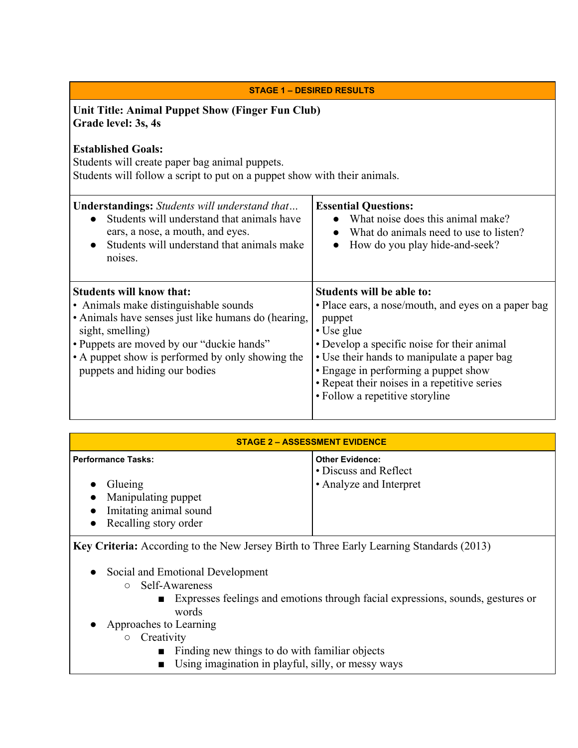| <b>STAGE 1 - DESIRED RESULTS</b>                                                                                                                                                                                                                                                      |                                                                                                                                                                                                                                                                                                                                   |  |
|---------------------------------------------------------------------------------------------------------------------------------------------------------------------------------------------------------------------------------------------------------------------------------------|-----------------------------------------------------------------------------------------------------------------------------------------------------------------------------------------------------------------------------------------------------------------------------------------------------------------------------------|--|
| Unit Title: Animal Puppet Show (Finger Fun Club)<br>Grade level: 3s, 4s                                                                                                                                                                                                               |                                                                                                                                                                                                                                                                                                                                   |  |
| <b>Established Goals:</b><br>Students will create paper bag animal puppets.<br>Students will follow a script to put on a puppet show with their animals.                                                                                                                              |                                                                                                                                                                                                                                                                                                                                   |  |
| <b>Understandings:</b> Students will understand that<br>Students will understand that animals have<br>ears, a nose, a mouth, and eyes.<br>Students will understand that animals make<br>noises.                                                                                       | <b>Essential Questions:</b><br>What noise does this animal make?<br>What do animals need to use to listen?<br>How do you play hide-and-seek?                                                                                                                                                                                      |  |
| <b>Students will know that:</b><br>• Animals make distinguishable sounds<br>• Animals have senses just like humans do (hearing,<br>sight, smelling)<br>• Puppets are moved by our "duckie hands"<br>• A puppet show is performed by only showing the<br>puppets and hiding our bodies | Students will be able to:<br>• Place ears, a nose/mouth, and eyes on a paper bag<br>puppet<br>• Use glue<br>• Develop a specific noise for their animal<br>• Use their hands to manipulate a paper bag<br>• Engage in performing a puppet show<br>• Repeat their noises in a repetitive series<br>• Follow a repetitive storyline |  |

| <b>STAGE 2 - ASSESSMENT EVIDENCE</b>                                                                                 |                                                                            |
|----------------------------------------------------------------------------------------------------------------------|----------------------------------------------------------------------------|
| <b>Performance Tasks:</b><br>Glueing<br>• Manipulating puppet<br>• Imitating animal sound<br>• Recalling story order | <b>Other Evidence:</b><br>• Discuss and Reflect<br>• Analyze and Interpret |

**Key Criteria:** According to the New Jersey Birth to Three Early Learning Standards (2013)

- Social and Emotional Development
	- Self-Awareness
		- Expresses feelings and emotions through facial expressions, sounds, gestures or words
- Approaches to Learning
	- Creativity
		- Finding new things to do with familiar objects
		- Using imagination in playful, silly, or messy ways